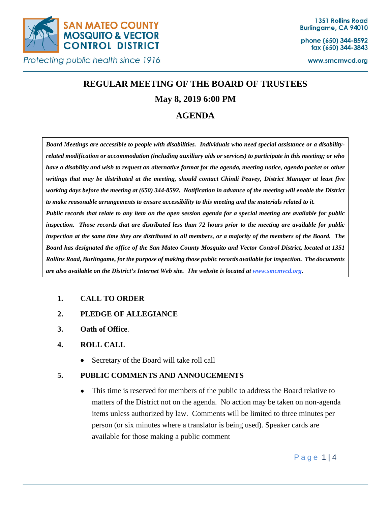

phone (650) 344-8592 fax (650) 344-3843

www.smcmvcd.org

# **REGULAR MEETING OF THE BOARD OF TRUSTEES**

# **May 8, 2019 6:00 PM**

# **AGENDA**

*Board Meetings are accessible to people with disabilities. Individuals who need special assistance or a disabilityrelated modification or accommodation (including auxiliary aids or services) to participate in this meeting; or who have a disability and wish to request an alternative format for the agenda, meeting notice, agenda packet or other writings that may be distributed at the meeting, should contact Chindi Peavey, District Manager at least five working days before the meeting at (650) 344-8592. Notification in advance of the meeting will enable the District to make reasonable arrangements to ensure accessibility to this meeting and the materials related to it. Public records that relate to any item on the open session agenda for a special meeting are available for public inspection. Those records that are distributed less than 72 hours prior to the meeting are available for public inspection at the same time they are distributed to all members, or a majority of the members of the Board. The Board has designated the office of the San Mateo County Mosquito and Vector Control District, located at 1351 Rollins Road, Burlingame, for the purpose of making those public records available for inspection. The documents are also available on the District's Internet Web site. The website is located at www.smcmvcd.org.* 

# **1. CALL TO ORDER**

- **2. PLEDGE OF ALLEGIANCE**
- **3. Oath of Office**.

# **4. ROLL CALL**

• Secretary of the Board will take roll call

# **5. PUBLIC COMMENTS AND ANNOUCEMENTS**

• This time is reserved for members of the public to address the Board relative to matters of the District not on the agenda. No action may be taken on non-agenda items unless authorized by law. Comments will be limited to three minutes per person (or six minutes where a translator is being used). Speaker cards are available for those making a public comment

Page 1 | 4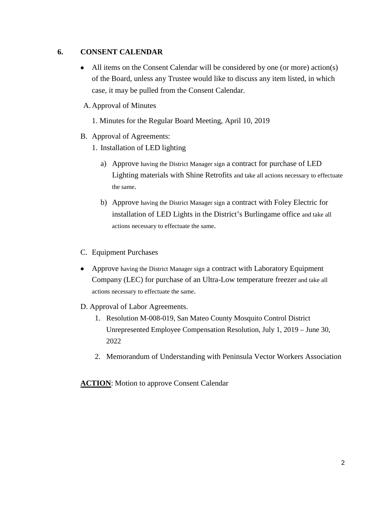# **6. CONSENT CALENDAR**

• All items on the Consent Calendar will be considered by one (or more) action(s) of the Board, unless any Trustee would like to discuss any item listed, in which case, it may be pulled from the Consent Calendar.

#### A. Approval of Minutes

1. Minutes for the Regular Board Meeting, April 10, 2019

- B. Approval of Agreements:
	- 1. Installation of LED lighting
		- a) Approve having the District Manager sign a contract for purchase of LED Lighting materials with Shine Retrofits and take all actions necessary to effectuate the same.
		- b) Approve having the District Manager sign a contract with Foley Electric for installation of LED Lights in the District's Burlingame office and take all actions necessary to effectuate the same.
- C. Equipment Purchases
- Approve having the District Manager sign a contract with Laboratory Equipment Company (LEC) for purchase of an Ultra-Low temperature freezer and take all actions necessary to effectuate the same.
- D. Approval of Labor Agreements.
	- 1. Resolution M-008-019, San Mateo County Mosquito Control District Unrepresented Employee Compensation Resolution, July 1, 2019 – June 30, 2022
	- 2. Memorandum of Understanding with Peninsula Vector Workers Association

**ACTION**: Motion to approve Consent Calendar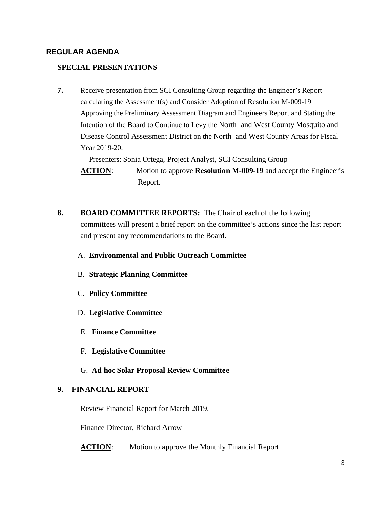### **REGULAR AGENDA**

#### **SPECIAL PRESENTATIONS**

**7.** Receive presentation from SCI Consulting Group regarding the Engineer's Report calculating the Assessment(s) and Consider Adoption of Resolution M-009-19 Approving the Preliminary Assessment Diagram and Engineers Report and Stating the Intention of the Board to Continue to Levy the North and West County Mosquito and Disease Control Assessment District on the North and West County Areas for Fiscal Year 2019-20.

Presenters: Sonia Ortega, Project Analyst, SCI Consulting Group

**ACTION**: Motion to approve **Resolution M-009-19** and accept the Engineer's Report.

- **8. BOARD COMMITTEE REPORTS:** The Chair of each of the following committees will present a brief report on the committee's actions since the last report and present any recommendations to the Board.
	- A. **Environmental and Public Outreach Committee**
	- B. **Strategic Planning Committee**
	- C. **Policy Committee**
	- D. **Legislative Committee**
	- E. **Finance Committee**
	- F. **Legislative Committee**
	- G. **Ad hoc Solar Proposal Review Committee**

#### **9. FINANCIAL REPORT**

Review Financial Report for March 2019.

Finance Director, Richard Arrow

**ACTION:** Motion to approve the Monthly Financial Report